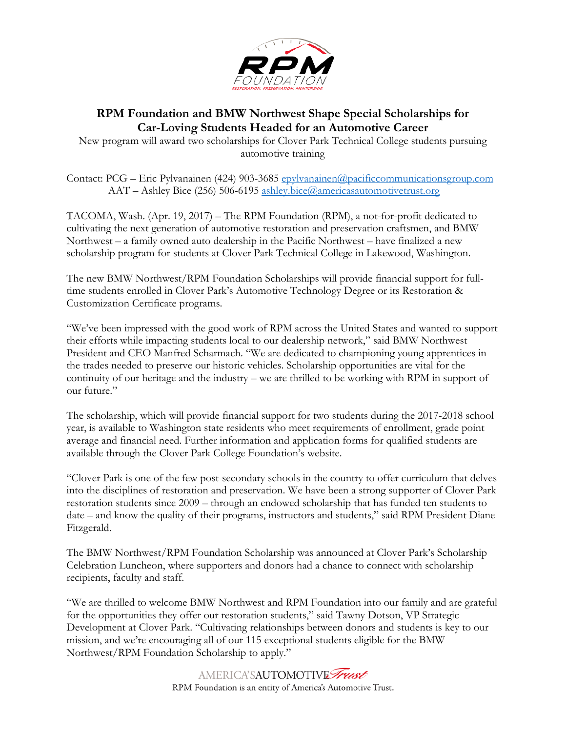

# **RPM Foundation and BMW Northwest Shape Special Scholarships for Car-Loving Students Headed for an Automotive Career**

New program will award two scholarships for Clover Park Technical College students pursuing automotive training

Contact: PCG – Eric Pylvanainen (424) 903-3685 [epylvanainen@pacificcommunicationsgroup.com](mailto:epylvanainen@pacificcommunicationsgroup.com) AAT – Ashley Bice (256) 506-6195 [ashley.bice@americasautomotivetrust.org](mailto:ashley.bice@americasautomotivetrust.org)

TACOMA, Wash. (Apr. 19, 2017) – The RPM Foundation (RPM), a not-for-profit dedicated to cultivating the next generation of automotive restoration and preservation craftsmen, and BMW Northwest – a family owned auto dealership in the Pacific Northwest – have finalized a new scholarship program for students at Clover Park Technical College in Lakewood, Washington.

The new BMW Northwest/RPM Foundation Scholarships will provide financial support for fulltime students enrolled in Clover Park's Automotive Technology Degree or its Restoration & Customization Certificate programs.

"We've been impressed with the good work of RPM across the United States and wanted to support their efforts while impacting students local to our dealership network," said BMW Northwest President and CEO Manfred Scharmach. "We are dedicated to championing young apprentices in the trades needed to preserve our historic vehicles. Scholarship opportunities are vital for the continuity of our heritage and the industry – we are thrilled to be working with RPM in support of our future."

The scholarship, which will provide financial support for two students during the 2017-2018 school year, is available to Washington state residents who meet requirements of enrollment, grade point average and financial need. Further information and application forms for qualified students are available through the Clover Park College Foundation's website.

"Clover Park is one of the few post-secondary schools in the country to offer curriculum that delves into the disciplines of restoration and preservation. We have been a strong supporter of Clover Park restoration students since 2009 – through an endowed scholarship that has funded ten students to date – and know the quality of their programs, instructors and students," said RPM President Diane Fitzgerald.

The BMW Northwest/RPM Foundation Scholarship was announced at Clover Park's Scholarship Celebration Luncheon, where supporters and donors had a chance to connect with scholarship recipients, faculty and staff.

"We are thrilled to welcome BMW Northwest and RPM Foundation into our family and are grateful for the opportunities they offer our restoration students," said Tawny Dotson, VP Strategic Development at Clover Park. "Cultivating relationships between donors and students is key to our mission, and we're encouraging all of our 115 exceptional students eligible for the BMW Northwest/RPM Foundation Scholarship to apply."

> AMERICA'SAUTOMOTIVE Trust RPM Foundation is an entity of America's Automotive Trust.